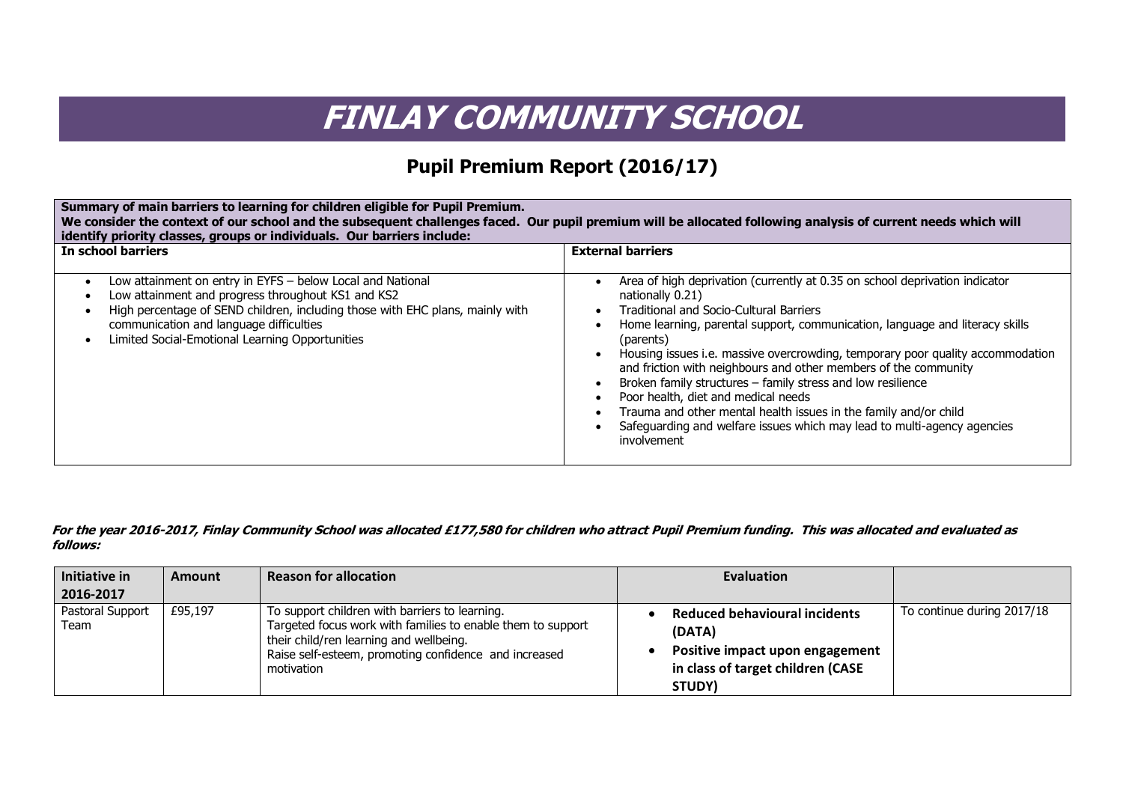## **FINLAY COMMUNITY SCHOOL**

## **Pupil Premium Report (2016/17)**

| Summary of main barriers to learning for children eligible for Pupil Premium.<br>We consider the context of our school and the subsequent challenges faced. Our pupil premium will be allocated following analysis of current needs which will<br>identify priority classes, groups or individuals. Our barriers include:      |                                                                                                                                                                                                                                                                                                                                                                                                                                                                                                                                                                                                                                                                         |  |  |  |  |
|--------------------------------------------------------------------------------------------------------------------------------------------------------------------------------------------------------------------------------------------------------------------------------------------------------------------------------|-------------------------------------------------------------------------------------------------------------------------------------------------------------------------------------------------------------------------------------------------------------------------------------------------------------------------------------------------------------------------------------------------------------------------------------------------------------------------------------------------------------------------------------------------------------------------------------------------------------------------------------------------------------------------|--|--|--|--|
| In school barriers                                                                                                                                                                                                                                                                                                             | <b>External barriers</b>                                                                                                                                                                                                                                                                                                                                                                                                                                                                                                                                                                                                                                                |  |  |  |  |
| Low attainment on entry in EYFS - below Local and National<br>$\bullet$<br>Low attainment and progress throughout KS1 and KS2<br>High percentage of SEND children, including those with EHC plans, mainly with<br>٠<br>communication and language difficulties<br>Limited Social-Emotional Learning Opportunities<br>$\bullet$ | Area of high deprivation (currently at 0.35 on school deprivation indicator<br>nationally 0.21)<br><b>Traditional and Socio-Cultural Barriers</b><br>Home learning, parental support, communication, language and literacy skills<br>(parents)<br>Housing issues i.e. massive overcrowding, temporary poor quality accommodation<br>and friction with neighbours and other members of the community<br>Broken family structures - family stress and low resilience<br>Poor health, diet and medical needs<br>Trauma and other mental health issues in the family and/or child<br>Safeguarding and welfare issues which may lead to multi-agency agencies<br>involvement |  |  |  |  |

## **For the year 2016-2017, Finlay Community School was allocated £177,580 for children who attract Pupil Premium funding. This was allocated and evaluated as follows:**

| Initiative in<br>2016-2017 | <b>Amount</b> | <b>Reason for allocation</b>                                                                                                                                                                                                    | Evaluation                                                                                                                       |                            |
|----------------------------|---------------|---------------------------------------------------------------------------------------------------------------------------------------------------------------------------------------------------------------------------------|----------------------------------------------------------------------------------------------------------------------------------|----------------------------|
| Pastoral Support<br>Team   | £95,197       | To support children with barriers to learning.<br>Targeted focus work with families to enable them to support<br>their child/ren learning and wellbeing.<br>Raise self-esteem, promoting confidence and increased<br>motivation | <b>Reduced behavioural incidents</b><br>(DATA)<br>Positive impact upon engagement<br>in class of target children (CASE<br>STUDY) | To continue during 2017/18 |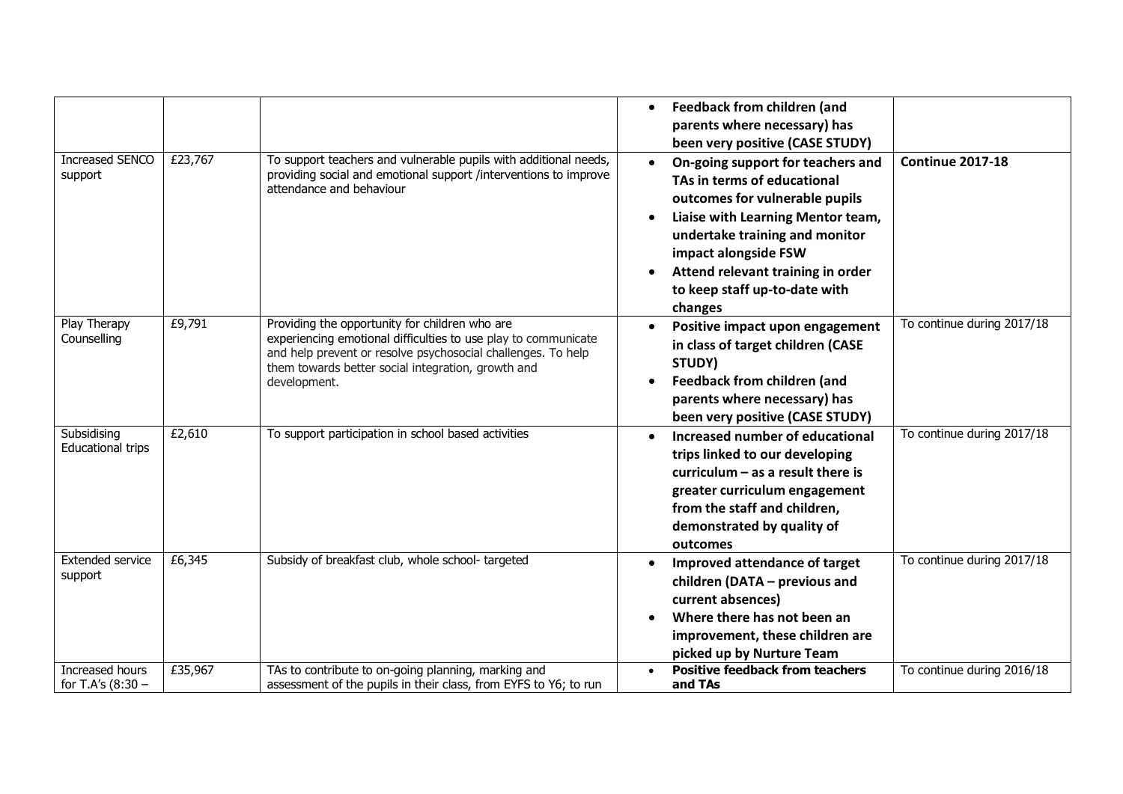| <b>Increased SENCO</b><br>support       | £23,767 | To support teachers and vulnerable pupils with additional needs,<br>providing social and emotional support /interventions to improve<br>attendance and behaviour                                                                                       | <b>Feedback from children (and</b><br>$\bullet$<br>parents where necessary) has<br>been very positive (CASE STUDY)<br><b>Continue 2017-18</b><br>On-going support for teachers and<br>TAs in terms of educational<br>outcomes for vulnerable pupils<br>Liaise with Learning Mentor team,<br>undertake training and monitor<br>impact alongside FSW<br>Attend relevant training in order<br>to keep staff up-to-date with<br>changes |
|-----------------------------------------|---------|--------------------------------------------------------------------------------------------------------------------------------------------------------------------------------------------------------------------------------------------------------|-------------------------------------------------------------------------------------------------------------------------------------------------------------------------------------------------------------------------------------------------------------------------------------------------------------------------------------------------------------------------------------------------------------------------------------|
| Play Therapy<br>Counselling             | £9,791  | Providing the opportunity for children who are<br>experiencing emotional difficulties to use play to communicate<br>and help prevent or resolve psychosocial challenges. To help<br>them towards better social integration, growth and<br>development. | To continue during 2017/18<br>Positive impact upon engagement<br>in class of target children (CASE<br>STUDY)<br><b>Feedback from children (and</b><br>parents where necessary) has<br>been very positive (CASE STUDY)                                                                                                                                                                                                               |
| Subsidising<br><b>Educational trips</b> | £2,610  | To support participation in school based activities                                                                                                                                                                                                    | To continue during 2017/18<br>Increased number of educational<br>trips linked to our developing<br>curriculum $-$ as a result there is<br>greater curriculum engagement<br>from the staff and children,<br>demonstrated by quality of<br>outcomes                                                                                                                                                                                   |
| <b>Extended service</b><br>support      | £6,345  | Subsidy of breakfast club, whole school-targeted                                                                                                                                                                                                       | To continue during 2017/18<br>Improved attendance of target<br>children (DATA - previous and<br>current absences)<br>Where there has not been an<br>improvement, these children are<br>picked up by Nurture Team                                                                                                                                                                                                                    |
| Increased hours<br>for T.A's $(8:30 -$  | £35,967 | TAs to contribute to on-going planning, marking and<br>assessment of the pupils in their class, from EYFS to Y6; to run                                                                                                                                | <b>Positive feedback from teachers</b><br>To continue during 2016/18<br>and TAs                                                                                                                                                                                                                                                                                                                                                     |